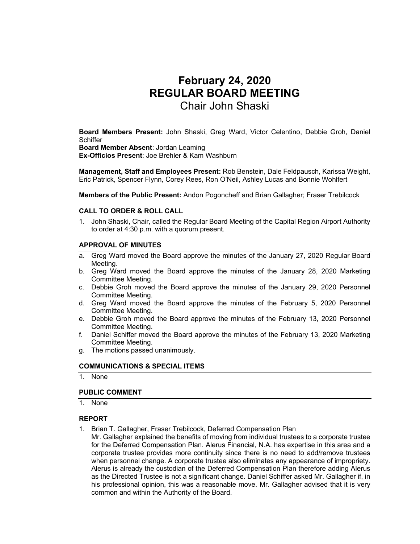# **February 24, 2020 REGULAR BOARD MEETING**  Chair John Shaski

**Board Members Present:** John Shaski, Greg Ward, Victor Celentino, Debbie Groh, Daniel **Schiffer** 

**Board Member Absent**: Jordan Leaming **Ex-Officios Present**: Joe Brehler & Kam Washburn

**Management, Staff and Employees Present:** Rob Benstein, Dale Feldpausch, Karissa Weight, Eric Patrick, Spencer Flynn, Corey Rees, Ron O'Neil, Ashley Lucas and Bonnie Wohlfert

**Members of the Public Present:** Andon Pogoncheff and Brian Gallagher; Fraser Trebilcock

### **CALL TO ORDER & ROLL CALL**

1. John Shaski, Chair, called the Regular Board Meeting of the Capital Region Airport Authority to order at 4:30 p.m. with a quorum present.

### **APPROVAL OF MINUTES**

- a. Greg Ward moved the Board approve the minutes of the January 27, 2020 Regular Board Meeting.
- b. Greg Ward moved the Board approve the minutes of the January 28, 2020 Marketing Committee Meeting.
- c. Debbie Groh moved the Board approve the minutes of the January 29, 2020 Personnel Committee Meeting.
- d. Greg Ward moved the Board approve the minutes of the February 5, 2020 Personnel Committee Meeting.
- e. Debbie Groh moved the Board approve the minutes of the February 13, 2020 Personnel Committee Meeting.
- f. Daniel Schiffer moved the Board approve the minutes of the February 13, 2020 Marketing Committee Meeting.
- g. The motions passed unanimously.

### **COMMUNICATIONS & SPECIAL ITEMS**

1. None

### **PUBLIC COMMENT**

1. None

### **REPORT**

- 1. Brian T. Gallagher, Fraser Trebilcock, Deferred Compensation Plan
- Mr. Gallagher explained the benefits of moving from individual trustees to a corporate trustee for the Deferred Compensation Plan. Alerus Financial, N.A. has expertise in this area and a corporate trustee provides more continuity since there is no need to add/remove trustees when personnel change. A corporate trustee also eliminates any appearance of impropriety. Alerus is already the custodian of the Deferred Compensation Plan therefore adding Alerus as the Directed Trustee is not a significant change. Daniel Schiffer asked Mr. Gallagher if, in his professional opinion, this was a reasonable move. Mr. Gallagher advised that it is very common and within the Authority of the Board.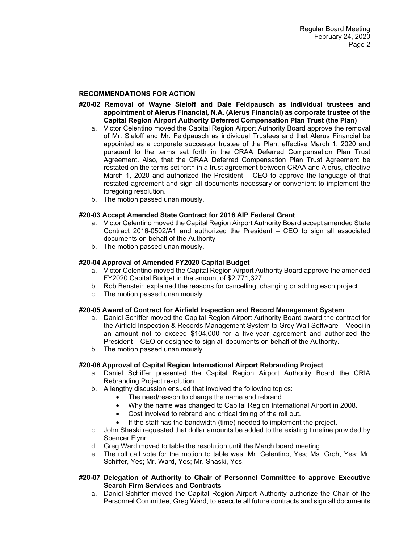### **RECOMMENDATIONS FOR ACTION**

- **#20-02 Removal of Wayne Sieloff and Dale Feldpausch as individual trustees and appointment of Alerus Financial, N.A. (Alerus Financial) as corporate trustee of the Capital Region Airport Authority Deferred Compensation Plan Trust (the Plan)** 
	- a. Victor Celentino moved the Capital Region Airport Authority Board approve the removal of Mr. Sieloff and Mr. Feldpausch as individual Trustees and that Alerus Financial be appointed as a corporate successor trustee of the Plan, effective March 1, 2020 and pursuant to the terms set forth in the CRAA Deferred Compensation Plan Trust Agreement. Also, that the CRAA Deferred Compensation Plan Trust Agreement be restated on the terms set forth in a trust agreement between CRAA and Alerus, effective March 1, 2020 and authorized the President – CEO to approve the language of that restated agreement and sign all documents necessary or convenient to implement the foregoing resolution.
	- b. The motion passed unanimously.

### **#20-03 Accept Amended State Contract for 2016 AIP Federal Grant**

- a. Victor Celentino moved the Capital Region Airport Authority Board accept amended State Contract 2016-0502/A1 and authorized the President – CEO to sign all associated documents on behalf of the Authority
- b. The motion passed unanimously.

#### **#20-04 Approval of Amended FY2020 Capital Budget**

- a. Victor Celentino moved the Capital Region Airport Authority Board approve the amended FY2020 Capital Budget in the amount of \$2,771,327.
- b. Rob Benstein explained the reasons for cancelling, changing or adding each project.
- c. The motion passed unanimously.

#### **#20-05 Award of Contract for Airfield Inspection and Record Management System**

- a. Daniel Schiffer moved the Capital Region Airport Authority Board award the contract for the Airfield Inspection & Records Management System to Grey Wall Software – Veoci in an amount not to exceed \$104,000 for a five-year agreement and authorized the President – CEO or designee to sign all documents on behalf of the Authority.
- b. The motion passed unanimously.

#### **#20-06 Approval of Capital Region International Airport Rebranding Project**

- a. Daniel Schiffer presented the Capital Region Airport Authority Board the CRIA Rebranding Project resolution.
- b. A lengthy discussion ensued that involved the following topics:
	- The need/reason to change the name and rebrand.
	- Why the name was changed to Capital Region International Airport in 2008.
		- Cost involved to rebrand and critical timing of the roll out.
	- If the staff has the bandwidth (time) needed to implement the project.
- c. John Shaski requested that dollar amounts be added to the existing timeline provided by Spencer Flynn.
- d. Greg Ward moved to table the resolution until the March board meeting.
- e. The roll call vote for the motion to table was: Mr. Celentino, Yes; Ms. Groh, Yes; Mr. Schiffer, Yes; Mr. Ward, Yes; Mr. Shaski, Yes.

#### **#20-07 Delegation of Authority to Chair of Personnel Committee to approve Executive Search Firm Services and Contracts**

a. Daniel Schiffer moved the Capital Region Airport Authority authorize the Chair of the Personnel Committee, Greg Ward, to execute all future contracts and sign all documents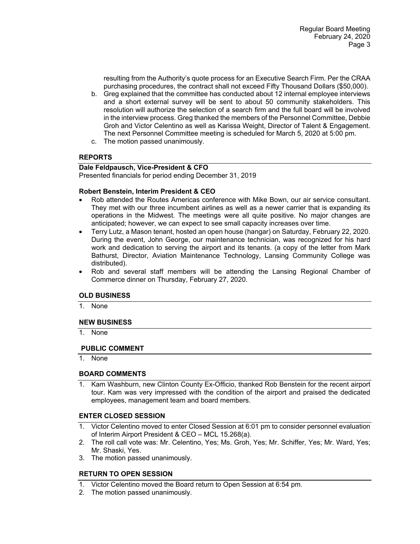resulting from the Authority's quote process for an Executive Search Firm. Per the CRAA purchasing procedures, the contract shall not exceed Fifty Thousand Dollars (\$50,000).

- b. Greg explained that the committee has conducted about 12 internal employee interviews and a short external survey will be sent to about 50 community stakeholders. This resolution will authorize the selection of a search firm and the full board will be involved in the interview process. Greg thanked the members of the Personnel Committee, Debbie Groh and Victor Celentino as well as Karissa Weight, Director of Talent & Engagement. The next Personnel Committee meeting is scheduled for March 5, 2020 at 5:00 pm.
- c. The motion passed unanimously.

# **REPORTS**

# **Dale Feldpausch, Vice-President & CFO**

Presented financials for period ending December 31, 2019

## **Robert Benstein, Interim President & CEO**

- Rob attended the Routes Americas conference with Mike Bown, our air service consultant. They met with our three incumbent airlines as well as a newer carrier that is expanding its operations in the Midwest. The meetings were all quite positive. No major changes are anticipated; however, we can expect to see small capacity increases over time.
- Terry Lutz, a Mason tenant, hosted an open house (hangar) on Saturday, February 22, 2020. During the event, John George, our maintenance technician, was recognized for his hard work and dedication to serving the airport and its tenants. (a copy of the letter from Mark Bathurst, Director, Aviation Maintenance Technology, Lansing Community College was distributed).
- Rob and several staff members will be attending the Lansing Regional Chamber of Commerce dinner on Thursday, February 27, 2020.

## **OLD BUSINESS**

1. None

### **NEW BUSINESS**

1. None

### **PUBLIC COMMENT**

1. None

### **BOARD COMMENTS**

1. Kam Washburn, new Clinton County Ex-Officio, thanked Rob Benstein for the recent airport tour. Kam was very impressed with the condition of the airport and praised the dedicated employees, management team and board members.

### **ENTER CLOSED SESSION**

- 1. Victor Celentino moved to enter Closed Session at 6:01 pm to consider personnel evaluation of Interim Airport President & CEO – MCL 15.268(a).
- 2. The roll call vote was: Mr. Celentino, Yes; Ms. Groh, Yes; Mr. Schiffer, Yes; Mr. Ward, Yes; Mr. Shaski, Yes.
- 3. The motion passed unanimously.

## **RETURN TO OPEN SESSION**

- 1. Victor Celentino moved the Board return to Open Session at 6:54 pm.
- 2. The motion passed unanimously.